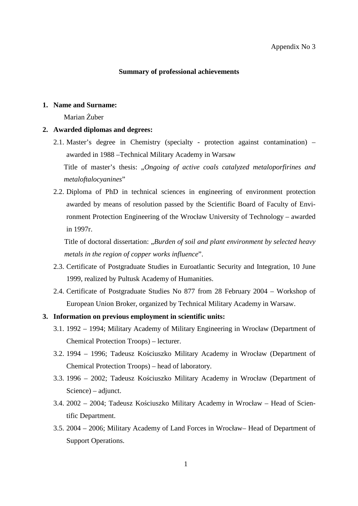### **Summary of professional achievements**

#### **1. Name and Surname:**

Marian Żuber

#### **2. Awarded diplomas and degrees:**

2.1. Master's degree in Chemistry (specialty - protection against contamination) – awarded in 1988 –Technical Military Academy in Warsaw

Title of master's thesis: "*Ongoing of active coals catalyzed metaloporfirines and metaloftalocyanines*"

2.2. Diploma of PhD in technical sciences in engineering of environment protection awarded by means of resolution passed by the Scientific Board of Faculty of Environment Protection Engineering of the Wrocław University of Technology – awarded in 1997r.

Title of doctoral dissertation: "Burden of soil and plant environment by selected heavy *metals in the region of copper works influence*".

- 2.3. Certificate of Postgraduate Studies in Euroatlantic Security and Integration, 10 June 1999, realized by Pultusk Academy of Humanities.
- 2.4. Certificate of Postgraduate Studies No 877 from 28 February 2004 Workshop of European Union Broker, organized by Technical Military Academy in Warsaw.
- **3. Information on previous employment in scientific units:** 
	- 3.1. 1992 1994; Military Academy of Military Engineering in Wrocław (Department of Chemical Protection Troops) – lecturer.
	- 3.2. 1994 1996; Tadeusz Kościuszko Military Academy in Wrocław (Department of Chemical Protection Troops) – head of laboratory.
	- 3.3. 1996 2002; Tadeusz Kościuszko Military Academy in Wrocław (Department of Science) – adjunct.
	- 3.4. 2002 2004; Tadeusz Kościuszko Military Academy in Wrocław Head of Scientific Department.
	- 3.5. 2004 2006; Military Academy of Land Forces in Wrocław– Head of Department of Support Operations.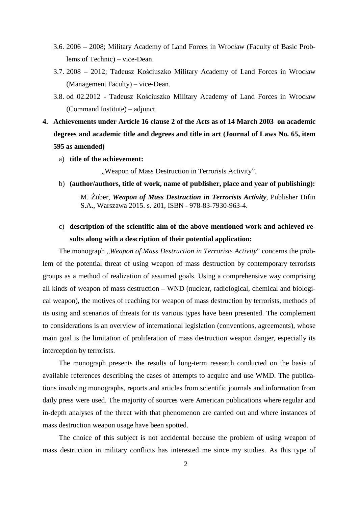- 3.6. 2006 2008; Military Academy of Land Forces in Wrocław (Faculty of Basic Problems of Technic) – vice-Dean.
- 3.7. 2008 2012; Tadeusz Kościuszko Military Academy of Land Forces in Wrocław (Management Faculty) – vice-Dean.
- 3.8. od 02.2012 Tadeusz Kościuszko Military Academy of Land Forces in Wrocław (Command Institute) – adjunct.
- **4. Achievements under Article 16 clause 2 of the Acts as of 14 March 2003 on academic degrees and academic title and degrees and title in art (Journal of Laws No. 65, item 595 as amended)** 
	- a) **title of the achievement:**

"Weapon of Mass Destruction in Terrorists Activity".

b) **(author/authors, title of work, name of publisher, place and year of publishing):** 

M. Żuber, *Weapon of Mass Destruction in Terrorists Activity*, Publisher Difin S.A., Warszawa 2015. s. 201, ISBN - 978-83-7930-963-4.

c) **description of the scientific aim of the above-mentioned work and achieved results along with a description of their potential application:**

The monograph "*Weapon of Mass Destruction in Terrorists Activity*" concerns the problem of the potential threat of using weapon of mass destruction by contemporary terrorists groups as a method of realization of assumed goals. Using a comprehensive way comprising all kinds of weapon of mass destruction – WND (nuclear, radiological, chemical and biological weapon), the motives of reaching for weapon of mass destruction by terrorists, methods of its using and scenarios of threats for its various types have been presented. The complement to considerations is an overview of international legislation (conventions, agreements), whose main goal is the limitation of proliferation of mass destruction weapon danger, especially its interception by terrorists.

The monograph presents the results of long-term research conducted on the basis of available references describing the cases of attempts to acquire and use WMD. The publications involving monographs, reports and articles from scientific journals and information from daily press were used. The majority of sources were American publications where regular and in-depth analyses of the threat with that phenomenon are carried out and where instances of mass destruction weapon usage have been spotted.

The choice of this subject is not accidental because the problem of using weapon of mass destruction in military conflicts has interested me since my studies. As this type of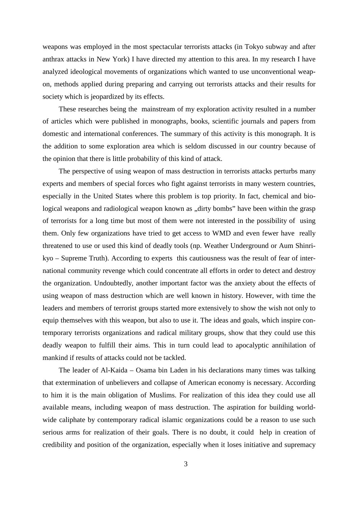weapons was employed in the most spectacular terrorists attacks (in Tokyo subway and after anthrax attacks in New York) I have directed my attention to this area. In my research I have analyzed ideological movements of organizations which wanted to use unconventional weapon, methods applied during preparing and carrying out terrorists attacks and their results for society which is jeopardized by its effects.

These researches being the mainstream of my exploration activity resulted in a number of articles which were published in monographs, books, scientific journals and papers from domestic and international conferences. The summary of this activity is this monograph. It is the addition to some exploration area which is seldom discussed in our country because of the opinion that there is little probability of this kind of attack.

The perspective of using weapon of mass destruction in terrorists attacks perturbs many experts and members of special forces who fight against terrorists in many western countries, especially in the United States where this problem is top priority. In fact, chemical and biological weapons and radiological weapon known as "dirty bombs" have been within the grasp of terrorists for a long time but most of them were not interested in the possibility of using them. Only few organizations have tried to get access to WMD and even fewer have really threatened to use or used this kind of deadly tools (np. Weather Underground or Aum Shinrikyo – Supreme Truth). According to experts this cautiousness was the result of fear of international community revenge which could concentrate all efforts in order to detect and destroy the organization. Undoubtedly, another important factor was the anxiety about the effects of using weapon of mass destruction which are well known in history. However, with time the leaders and members of terrorist groups started more extensively to show the wish not only to equip themselves with this weapon, but also to use it. The ideas and goals, which inspire contemporary terrorists organizations and radical military groups, show that they could use this deadly weapon to fulfill their aims. This in turn could lead to apocalyptic annihilation of mankind if results of attacks could not be tackled.

The leader of Al-Kaida – Osama bin Laden in his declarations many times was talking that extermination of unbelievers and collapse of American economy is necessary. According to him it is the main obligation of Muslims. For realization of this idea they could use all available means, including weapon of mass destruction. The aspiration for building worldwide caliphate by contemporary radical islamic organizations could be a reason to use such serious arms for realization of their goals. There is no doubt, it could help in creation of credibility and position of the organization, especially when it loses initiative and supremacy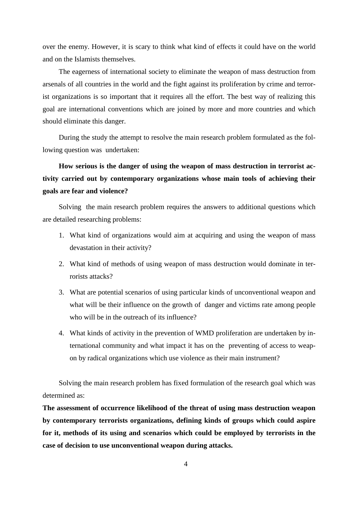over the enemy. However, it is scary to think what kind of effects it could have on the world and on the Islamists themselves.

The eagerness of international society to eliminate the weapon of mass destruction from arsenals of all countries in the world and the fight against its proliferation by crime and terrorist organizations is so important that it requires all the effort. The best way of realizing this goal are international conventions which are joined by more and more countries and which should eliminate this danger.

During the study the attempt to resolve the main research problem formulated as the following question was undertaken:

**How serious is the danger of using the weapon of mass destruction in terrorist activity carried out by contemporary organizations whose main tools of achieving their goals are fear and violence?** 

Solving the main research problem requires the answers to additional questions which are detailed researching problems:

- 1. What kind of organizations would aim at acquiring and using the weapon of mass devastation in their activity?
- 2. What kind of methods of using weapon of mass destruction would dominate in terrorists attacks?
- 3. What are potential scenarios of using particular kinds of unconventional weapon and what will be their influence on the growth of danger and victims rate among people who will be in the outreach of its influence?
- 4. What kinds of activity in the prevention of WMD proliferation are undertaken by international community and what impact it has on the preventing of access to weapon by radical organizations which use violence as their main instrument?

Solving the main research problem has fixed formulation of the research goal which was determined as:

**The assessment of occurrence likelihood of the threat of using mass destruction weapon by contemporary terrorists organizations, defining kinds of groups which could aspire for it, methods of its using and scenarios which could be employed by terrorists in the case of decision to use unconventional weapon during attacks.**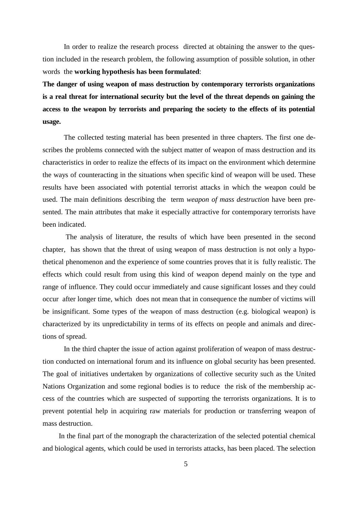In order to realize the research process directed at obtaining the answer to the question included in the research problem, the following assumption of possible solution, in other words the **working hypothesis has been formulated**:

**The danger of using weapon of mass destruction by contemporary terrorists organizations is a real threat for international security but the level of the threat depends on gaining the access to the weapon by terrorists and preparing the society to the effects of its potential usage.** 

The collected testing material has been presented in three chapters. The first one describes the problems connected with the subject matter of weapon of mass destruction and its characteristics in order to realize the effects of its impact on the environment which determine the ways of counteracting in the situations when specific kind of weapon will be used. These results have been associated with potential terrorist attacks in which the weapon could be used. The main definitions describing the term *weapon of mass destruction* have been presented. The main attributes that make it especially attractive for contemporary terrorists have been indicated.

 The analysis of literature, the results of which have been presented in the second chapter, has shown that the threat of using weapon of mass destruction is not only a hypothetical phenomenon and the experience of some countries proves that it is fully realistic. The effects which could result from using this kind of weapon depend mainly on the type and range of influence. They could occur immediately and cause significant losses and they could occur after longer time, which does not mean that in consequence the number of victims will be insignificant. Some types of the weapon of mass destruction (e.g. biological weapon) is characterized by its unpredictability in terms of its effects on people and animals and directions of spread.

In the third chapter the issue of action against proliferation of weapon of mass destruction conducted on international forum and its influence on global security has been presented. The goal of initiatives undertaken by organizations of collective security such as the United Nations Organization and some regional bodies is to reduce the risk of the membership access of the countries which are suspected of supporting the terrorists organizations. It is to prevent potential help in acquiring raw materials for production or transferring weapon of mass destruction.

In the final part of the monograph the characterization of the selected potential chemical and biological agents, which could be used in terrorists attacks, has been placed. The selection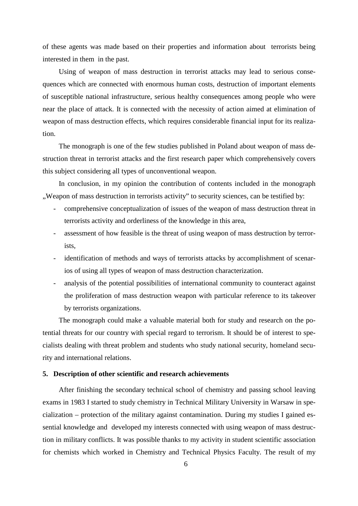of these agents was made based on their properties and information about terrorists being interested in them in the past.

Using of weapon of mass destruction in terrorist attacks may lead to serious consequences which are connected with enormous human costs, destruction of important elements of susceptible national infrastructure, serious healthy consequences among people who were near the place of attack. It is connected with the necessity of action aimed at elimination of weapon of mass destruction effects, which requires considerable financial input for its realization.

The monograph is one of the few studies published in Poland about weapon of mass destruction threat in terrorist attacks and the first research paper which comprehensively covers this subject considering all types of unconventional weapon.

In conclusion, in my opinion the contribution of contents included in the monograph "Weapon of mass destruction in terrorists activity" to security sciences, can be testified by:

- comprehensive conceptualization of issues of the weapon of mass destruction threat in terrorists activity and orderliness of the knowledge in this area,
- assessment of how feasible is the threat of using weapon of mass destruction by terrorists,
- identification of methods and ways of terrorists attacks by accomplishment of scenarios of using all types of weapon of mass destruction characterization.
- analysis of the potential possibilities of international community to counteract against the proliferation of mass destruction weapon with particular reference to its takeover by terrorists organizations.

The monograph could make a valuable material both for study and research on the potential threats for our country with special regard to terrorism. It should be of interest to specialists dealing with threat problem and students who study national security, homeland security and international relations.

#### **5. Description of other scientific and research achievements**

After finishing the secondary technical school of chemistry and passing school leaving exams in 1983 I started to study chemistry in Technical Military University in Warsaw in specialization – protection of the military against contamination. During my studies I gained essential knowledge and developed my interests connected with using weapon of mass destruction in military conflicts. It was possible thanks to my activity in student scientific association for chemists which worked in Chemistry and Technical Physics Faculty. The result of my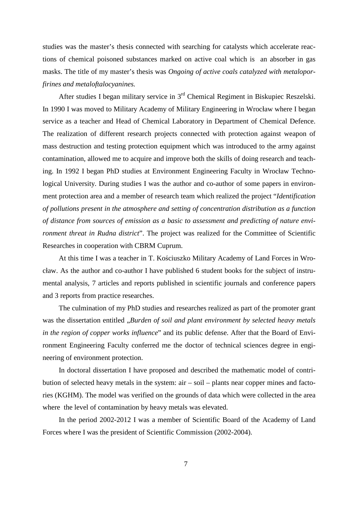studies was the master's thesis connected with searching for catalysts which accelerate reactions of chemical poisoned substances marked on active coal which is an absorber in gas masks. The title of my master's thesis was *Ongoing of active coals catalyzed with metaloporfirines and metaloftalocyanines.*

After studies I began military service in 3rd Chemical Regiment in Biskupiec Reszelski. In 1990 I was moved to Military Academy of Military Engineering in Wrocław where I began service as a teacher and Head of Chemical Laboratory in Department of Chemical Defence. The realization of different research projects connected with protection against weapon of mass destruction and testing protection equipment which was introduced to the army against contamination, allowed me to acquire and improve both the skills of doing research and teaching. In 1992 I began PhD studies at Environment Engineering Faculty in Wrocław Technological University. During studies I was the author and co-author of some papers in environment protection area and a member of research team which realized the project "*Identification of pollutions present in the atmosphere and setting of concentration distribution as a function of distance from sources of emission as a basic to assessment and predicting of nature environment threat in Rudna district*". The project was realized for the Committee of Scientific Researches in cooperation with CBRM Cuprum.

At this time I was a teacher in T. Kościuszko Military Academy of Land Forces in Wrocław. As the author and co-author I have published 6 student books for the subject of instrumental analysis, 7 articles and reports published in scientific journals and conference papers and 3 reports from practice researches.

The culmination of my PhD studies and researches realized as part of the promoter grant was the dissertation entitled *"Burden of soil and plant environment by selected heavy metals in the region of copper works influence*" and its public defense. After that the Board of Environment Engineering Faculty conferred me the doctor of technical sciences degree in engineering of environment protection.

In doctoral dissertation I have proposed and described the mathematic model of contribution of selected heavy metals in the system: air – soil – plants near copper mines and factories (KGHM). The model was verified on the grounds of data which were collected in the area where the level of contamination by heavy metals was elevated.

In the period 2002-2012 I was a member of Scientific Board of the Academy of Land Forces where I was the president of Scientific Commission (2002-2004).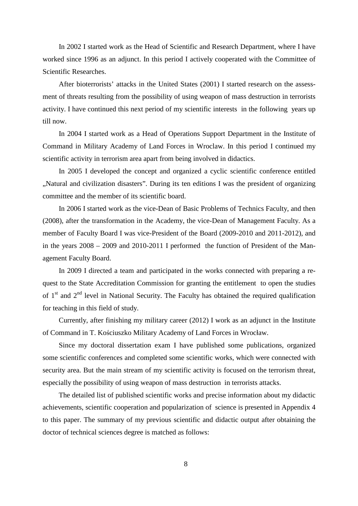In 2002 I started work as the Head of Scientific and Research Department, where I have worked since 1996 as an adjunct. In this period I actively cooperated with the Committee of Scientific Researches.

After bioterrorists' attacks in the United States (2001) I started research on the assessment of threats resulting from the possibility of using weapon of mass destruction in terrorists activity. I have continued this next period of my scientific interests in the following years up till now.

In 2004 I started work as a Head of Operations Support Department in the Institute of Command in Military Academy of Land Forces in Wroclaw. In this period I continued my scientific activity in terrorism area apart from being involved in didactics.

In 2005 I developed the concept and organized a cyclic scientific conference entitled ", Natural and civilization disasters". During its ten editions I was the president of organizing committee and the member of its scientific board.

In 2006 I started work as the vice-Dean of Basic Problems of Technics Faculty, and then (2008), after the transformation in the Academy, the vice-Dean of Management Faculty. As a member of Faculty Board I was vice-President of the Board (2009-2010 and 2011-2012), and in the years 2008 – 2009 and 2010-2011 I performed the function of President of the Management Faculty Board.

In 2009 I directed a team and participated in the works connected with preparing a request to the State Accreditation Commission for granting the entitlement to open the studies of  $1<sup>st</sup>$  and  $2<sup>nd</sup>$  level in National Security. The Faculty has obtained the required qualification for teaching in this field of study.

Currently, after finishing my military career (2012) I work as an adjunct in the Institute of Command in T. Kościuszko Military Academy of Land Forces in Wrocław.

Since my doctoral dissertation exam I have published some publications, organized some scientific conferences and completed some scientific works, which were connected with security area. But the main stream of my scientific activity is focused on the terrorism threat, especially the possibility of using weapon of mass destruction in terrorists attacks.

The detailed list of published scientific works and precise information about my didactic achievements, scientific cooperation and popularization of science is presented in Appendix 4 to this paper. The summary of my previous scientific and didactic output after obtaining the doctor of technical sciences degree is matched as follows: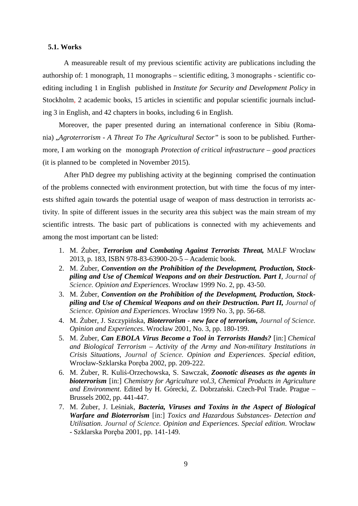### **5.1. Works**

A measureable result of my previous scientific activity are publications including the authorship of: 1 monograph, 11 monographs – scientific editing, 3 monographs - scientific coediting including 1 in English published in *Institute for Security and Development Policy* in Stockholm, 2 academic books, 15 articles in scientific and popular scientific journals including 3 in English, and 42 chapters in books, including 6 in English.

Moreover, the paper presented during an international conference in Sibiu (Romania) "*Agroterrorism - A Threat To The Agricultural Sector"* is soon to be published*.* Furthermore, I am working on the monograph *Protection of critical infrastructure – good practices* (it is planned to be completed in November 2015).

After PhD degree my publishing activity at the beginning comprised the continuation of the problems connected with environment protection, but with time the focus of my interests shifted again towards the potential usage of weapon of mass destruction in terrorists activity. In spite of different issues in the security area this subject was the main stream of my scientific intrests. The basic part of publications is connected with my achievements and among the most important can be listed:

- 1. M. Żuber, *Terrorism and Combating Against Terrorists Threat,* MALF Wrocław 2013, p. 183, ISBN 978-83-63900-20-5 – Academic book.
- 2. M. Żuber, *Convention on the Prohibition of the Development, Production, Stockpiling and Use of Chemical Weapons and on their Destruction. Part I*, *Journal of Science. Opinion and Experiences*. Wrocław 1999 No. 2, pp. 43-50.
- 3. M. Żuber, *Convention on the Prohibition of the Development, Production, Stockpiling and Use of Chemical Weapons and on their Destruction. Part II, Journal of Science. Opinion and Experiences*. Wrocław 1999 No. 3, pp. 56-68.
- 4. M. Żuber, J. Szczypińska, *Bioterrorism new face of terrorism, Journal of Science. Opinion and Experiences*. Wrocław 2001, No. 3, pp. 180-199.
- 5. M. Żuber, *Can EBOLA Virus Become a Tool in Terrorists Hands?* [in:] *Chemical and Biological Terrorism – Activity of the Army and Non-military Institutions in Crisis Situations*, *Journal of Science. Opinion and Experiences*. *Special edition*, Wrocław-Szklarska Poręba 2002, pp. 209-222.
- 6. M. Żuber, R. Kuliś-Orzechowska, S. Sawczak, *Zoonotic diseases as the agents in bioterrorism* [in:] *Chemistry for Agriculture vol.3, Chemical Products in Agriculture and Environment*. Edited by H. Górecki, Z. Dobrzański. Czech-Pol Trade. Prague – Brussels 2002, pp. 441-447.
- 7. M. Żuber, J. Leśniak, *Bacteria, Viruses and Toxins in the Aspect of Biological Warfare and Bioterrorism* [in:] *Toxics and Hazardous Substances- Detection and Utilisation*. *Journal of Science. Opinion and Experiences*. *Special edition*. Wrocław - Szklarska Poręba 2001, pp. 141-149.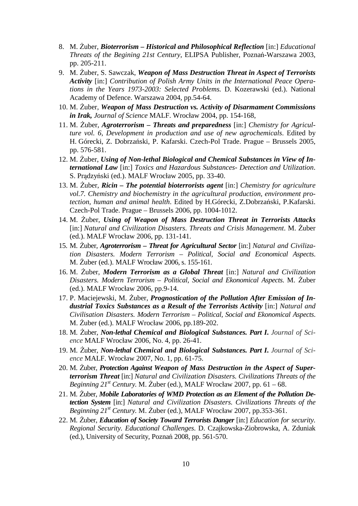- 8. M. Żuber, *Bioterrorism Historical and Philosophical Reflection* [in:] *Educational Threats of the Begining 21st Century*, ELIPSA Publisher, Poznań-Warszawa 2003, pp. 205-211.
- 9. M. Żuber, S. Sawczak, *Weapon of Mass Destruction Threat in Aspect of Terrorists Activity* [in:] *Contribution of Polish Army Units in the International Peace Operations in the Years 1973-2003: Selected Problems.* D. Kozerawski (ed.). National Academy of Defence. Warszawa 2004, pp.54-64.
- 10. M. Żuber, *Weapon of Mass Destruction vs. Activity of Disarmament Commissions in Irak, Journal of Science* MALF. Wrocław 2004, pp. 154-168,
- 11. M. Żuber, *Agroterrorism Threats and preparedness* [in:] *Chemistry for Agriculture vol. 6, Development in production and use of new agrochemicals*. Edited by H. Górecki, Z. Dobrzański, P. Kafarski. Czech-Pol Trade. Prague – Brussels 2005, pp. 576-581.
- 12. M. Żuber, *Using of Non-lethal Biological and Chemical Substances in View of International Law* [in:] *Toxics and Hazardous Substances- Detection and Utilization*. S. Prądzyński (ed.). MALF Wrocław 2005, pp. 33-40.
- 13. M. Żuber, *Ricin The potential bioterrorists agent* [in:] *Chemistry for agriculture vol.7. Chemistry and biochemistry in the agricultural production, environment protection, human and animal health*. Edited by H.Górecki, Z.Dobrzański, P.Kafarski. Czech-Pol Trade. Prague – Brussels 2006, pp. 1004-1012.
- 14. M. Żuber, *Using of Weapon of Mass Destruction Threat in Terrorists Attacks* [in:] *Natural and Civilization Disasters. Threats and Crisis Management*. M. Żuber (ed.). MALF Wrocław 2006, pp. 131-141.
- 15. M. Żuber, *Agroterrorism Threat for Agricultural Sector* [in:] *Natural and Civilization Disasters. Modern Terrorism – Political, Social and Economical Aspects*. M. Żuber (ed.). MALF Wrocław 2006, s. 155-161.
- 16. M. Żuber, *Modern Terrorism as a Global Threat* [in:] *Natural and Civilization Disasters. Modern Terrorism – Political, Social and Ekonomical Aspects*. M. Żuber (ed.). MALF Wrocław 2006, pp.9-14.
- 17. P. Maciejewski, M. Żuber, *Prognostication of the Pollution After Emission of Industrial Toxics Substances as a Result of the Terrorists Activity* [in:] *Natural and Civilisation Disasters. Modern Terrorism – Political, Social and Ekonomical Aspects*. M. Żuber (ed.). MALF Wrocław 2006, pp.189-202.
- 18. M. Żuber, *Non-lethal Chemical and Biological Substances. Part I***.** *Journal of Science* MALF Wrocław 2006, No. 4, pp. 26-41.
- 19. M. Żuber, *Non-lethal Chemical and Biological Substances. Part I***.** *Journal of Science* MALF. Wrocław 2007, No. 1, pp. 61-75.
- 20. M. Żuber, *Protection Against Weapon of Mass Destruction in the Aspect of Superterrorism Threat* [in:] *Natural and Civilization Disasters. Civilizations Threats of the Beginning 21st Century.* M. Żuber (ed.), MALF Wrocław 2007, pp. 61 – 68.
- 21. M. Żuber, *Mobile Laboratories of WMD Protection as an Element of the Pollution Detection System* [in:] *Natural and Civilization Disasters. Civilizations Threats of the Beginning 21st Century.* M. Żuber (ed.), MALF Wrocław 2007, pp.353-361.
- 22. M. Żuber, *Education of Society Toward Terrorists Danger* [in:] *Education for security. Regional Security. Educational Challenges*. D. Czajkowska-Ziobrowska, A. Zduniak (ed.), University of Security, Poznań 2008, pp. 561-570.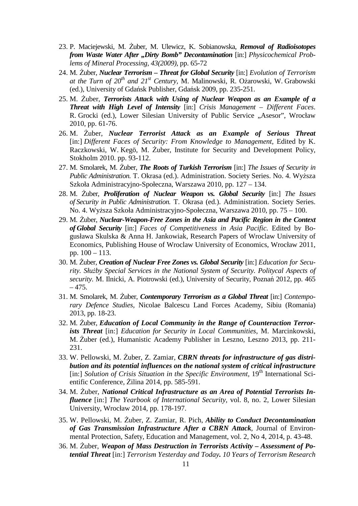- 23. P. Maciejewski, M. Żuber, M. Ulewicz, K. Sobianowska, *Removal of Radioisotopes from Waste Water After "Dirty Bomb" Decontamination* [in:] *Physicochemical Problems of Mineral Processing, 43(2009),* pp. 65-72
- 24. M. Żuber, *Nuclear Terrorism Threat for Global Security* [in:] *Evolution of Terrorism at the Turn of 20th and 21st Century,* M. Malinowski, R. Ożarowski, W. Grabowski (ed.), University of Gdańsk Publisher, Gdańsk 2009, pp. 235-251.
- 25. M. Żuber, *Terrorists Attack with Using of Nuclear Weapon as an Example of a Threat with High Level of Intensity* [in:] *Crisis Management – Different Faces*. R. Grocki (ed.), Lower Silesian University of Public Service "Asesor", Wrocław 2010, pp. 61-76.
- 26. M. Żuber, *Nuclear Terrorist Attack as an Example of Serious Threat*  [in:] *Different Faces of Security: From Knowledge to Management*, Edited by K. Raczkowski, W. Kegö, M. Żuber, Institute for Security and Development Policy, Stokholm 2010. pp. 93-112.
- 27. M. Smolarek, M. Żuber, *The Roots of Turkish Terrorism* [in:] *The Issues of Security in Public Administration.* T. Okrasa (ed.). Administration. Society Series. No. 4. Wyższa Szkoła Administracyjno-Społeczna, Warszawa 2010, pp. 127 – 134.
- 28. M. Żuber, *Proliferation of Nuclear Weapon vs. Global Security* [in:] *The Issues of Security in Public Administration.* T. Okrasa (ed.). Administration. Society Series. No. 4. Wyższa Szkoła Administracyjno-Społeczna, Warszawa 2010, pp. 75 – 100.
- 29. M. Żuber, *Nuclear-Weapon-Free Zones in the Asia and Pacific Region in the Context of Global Security* [in:] *Faces of Competitiveness in Asia Pacific.* Edited by Bogusława Skulska & Anna H. Jankowiak, Research Papers of Wroclaw University of Economics, Publishing House of Wroclaw University of Economics, Wrocław 2011, pp. 100 – 113.
- 30. M. Żuber, *Creation of Nuclear Free Zones vs. Global Security* [in:] *Education for Security. Służby Special Services in the National System of Security. Politycal Aspects of security.* M. Ilnicki, A. Piotrowski (ed.), University of Security, Poznań 2012*,* pp. 465  $-475.$
- 31. M. Smolarek, M. Żuber, *Contemporary Terrorism as a Global Threat* [in:] *Contemporary Defence Studies,* Nicolae Balcescu Land Forces Academy, Sibiu (Romania) 2013, pp. 18-23.
- 32. M. Żuber, *Education of Local Community in the Range of Counteraction Terrorists Threat* [in:] *Education for Security in Local Communities*, M. Marcinkowski, M. Żuber (ed.), Humanistic Academy Publisher in Leszno, Leszno 2013, pp. 211- 231.
- 33. W. Pellowski, M. Żuber, Z. Zamiar, *CBRN threats for infrastructure of gas distribution and its potential influences on the national system of critical infrastructure*  [in:] *Solution of Crisis Situation in the Specific Environment*, 19<sup>th</sup> International Scientific Conference, Żilina 2014, pp. 585-591.
- 34. M. Żuber, *National Critical Infrastructure as an Area of Potential Terrorists Influence* [in:] *The Yearbook of International Security,* vol. 8, no. 2*,* Lower Silesian University, Wrocław 2014, pp. 178-197.
- 35. W. Pellowski, M. Żuber, Z. Zamiar, R. Pich, *Ability to Conduct Decontamination of Gas Transmission Infrastructure After a CBRN Attack*, Journal of Environmental Protection, Safety, Education and Management, vol. 2, No 4, 2014, p. 43-48.
- 36. M. Żuber, *Weapon of Mass Destruction in Terrorists Activity Assessment of Potential Threat* [in:] *Terrorism Yesterday and Today. 10 Years of Terrorism Research*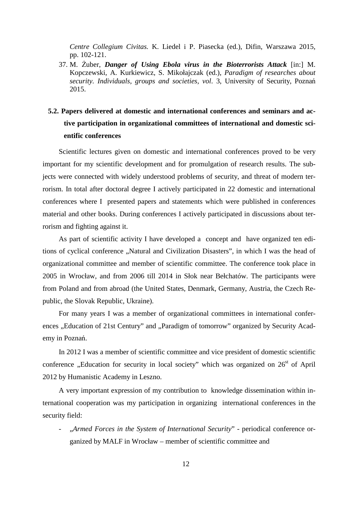*Centre Collegium Civitas.* K. Liedel i P. Piasecka (ed.), Difin, Warszawa 2015, pp. 102-121.

37. M. Żuber, *Danger of Using Ebola virus in the Bioterrorists Attack* [in:] M. Kopczewski, A. Kurkiewicz, S. Mikołajczak (ed.), *Paradigm of researches about security. Individuals, groups and societies, vol*. 3, University of Security, Poznań 2015.

# **5.2. Papers delivered at domestic and international conferences and seminars and active participation in organizational committees of international and domestic scientific conferences**

Scientific lectures given on domestic and international conferences proved to be very important for my scientific development and for promulgation of research results. The subjects were connected with widely understood problems of security, and threat of modern terrorism. In total after doctoral degree I actively participated in 22 domestic and international conferences where I presented papers and statements which were published in conferences material and other books. During conferences I actively participated in discussions about terrorism and fighting against it.

As part of scientific activity I have developed a concept and have organized ten editions of cyclical conference "Natural and Civilization Disasters", in which I was the head of organizational committee and member of scientific committee. The conference took place in 2005 in Wrocław, and from 2006 till 2014 in Słok near Bełchatów. The participants were from Poland and from abroad (the United States, Denmark, Germany, Austria, the Czech Republic, the Slovak Republic, Ukraine).

For many years I was a member of organizational committees in international conferences "Education of 21st Century" and "Paradigm of tomorrow" organized by Security Academy in Poznań.

In 2012 I was a member of scientific committee and vice president of domestic scientific conference "Education for security in local society" which was organized on  $26<sup>st</sup>$  of April 2012 by Humanistic Academy in Leszno.

A very important expression of my contribution to knowledge dissemination within international cooperation was my participation in organizing international conferences in the security field:

- "*Armed Forces in the System of International Security*" - periodical conference organized by MALF in Wrocław – member of scientific committee and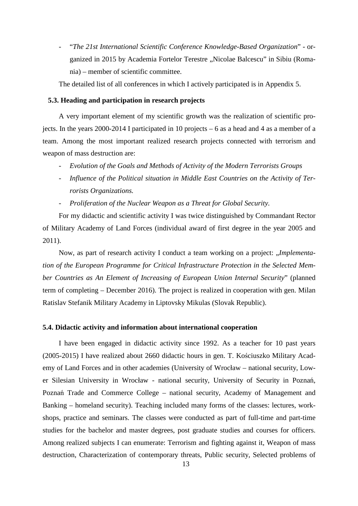- "*The 21st International Scientific Conference Knowledge-Based Organization*" - organized in 2015 by Academia Fortelor Terestre "Nicolae Balcescu" in Sibiu (Romania) – member of scientific committee.

The detailed list of all conferences in which I actively participated is in Appendix 5.

### **5.3. Heading and participation in research projects**

A very important element of my scientific growth was the realization of scientific projects. In the years 2000-2014 I participated in 10 projects – 6 as a head and 4 as a member of a team. Among the most important realized research projects connected with terrorism and weapon of mass destruction are:

- *Evolution of the Goals and Methods of Activity of the Modern Terrorists Groups*
- *Influence of the Political situation in Middle East Countries on the Activity of Terrorists Organizations.*
- *Proliferation of the Nuclear Weapon as a Threat for Global Security.*

For my didactic and scientific activity I was twice distinguished by Commandant Rector of Military Academy of Land Forces (individual award of first degree in the year 2005 and 2011).

Now, as part of research activity I conduct a team working on a project: *"Implementation of the European Programme for Critical Infrastructure Protection in the Selected Member Countries as An Element of Increasing of European Union Internal Security*" (planned term of completing – December 2016). The project is realized in cooperation with gen. Milan Ratislav Stefanik Military Academy in Liptovsky Mikulas (Slovak Republic).

#### **5.4. Didactic activity and information about international cooperation**

I have been engaged in didactic activity since 1992. As a teacher for 10 past years (2005-2015) I have realized about 2660 didactic hours in gen. T. Kościuszko Military Academy of Land Forces and in other academies (University of Wrocław – national security, Lower Silesian University in Wrocław - national security, University of Security in Poznań, Poznań Trade and Commerce College – national security, Academy of Management and Banking – homeland security). Teaching included many forms of the classes: lectures, workshops, practice and seminars. The classes were conducted as part of full-time and part-time studies for the bachelor and master degrees, post graduate studies and courses for officers. Among realized subjects I can enumerate: Terrorism and fighting against it, Weapon of mass destruction, Characterization of contemporary threats, Public security, Selected problems of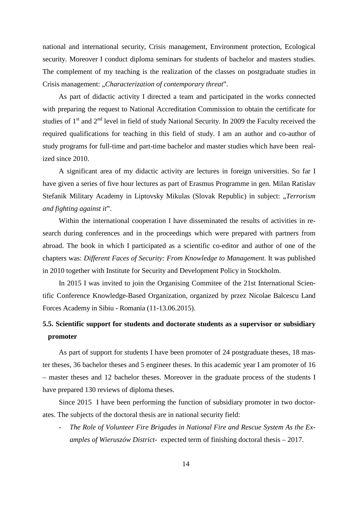national and international security, Crisis management, Environment protection, Ecological security. Moreover I conduct diploma seminars for students of bachelor and masters studies. The complement of my teaching is the realization of the classes on postgraduate studies in Crisis management: "*Characterization of contemporary threat*".

As part of didactic activity I directed a team and participated in the works connected with preparing the request to National Accreditation Commission to obtain the certificate for studies of 1<sup>st</sup> and 2<sup>nd</sup> level in field of study National Security. In 2009 the Faculty received the required qualifications for teaching in this field of study. I am an author and co-author of study programs for full-time and part-time bachelor and master studies which have been realized since 2010.

A significant area of my didactic activity are lectures in foreign universities. So far I have given a series of five hour lectures as part of Erasmus Programme in gen. Milan Ratislav Stefanik Military Academy in Liptovsky Mikulas (Slovak Republic) in subject: "*Terrorism and fighting against it*".

Within the international cooperation I have disseminated the results of activities in research during conferences and in the proceedings which were prepared with partners from abroad. The book in which I participated as a scientific co-editor and author of one of the chapters was: *Different Faces of Security: From Knowledge to Management.* It was published in 2010 together with Institute for Security and Development Policy in Stockholm.

In 2015 I was invited to join the Organising Commitee of the 21st International Scientific Conference Knowledge-Based Organization*,* organized by przez Nicolae Balcescu Land Forces Academy in Sibiu - Romania (11-13.06.2015).

## **5.5. Scientific support for students and doctorate students as a supervisor or subsidiary promoter**

As part of support for students I have been promoter of 24 postgraduate theses, 18 master theses, 36 bachelor theses and 5 engineer theses. In this academic year I am promoter of 16 – master theses and 12 bachelor theses. Moreover in the graduate process of the students I have prepared 130 reviews of diploma theses.

Since 2015 I have been performing the function of subsidiary promoter in two doctorates. The subjects of the doctoral thesis are in national security field:

The Role of Volunteer Fire Brigades in National Fire and Rescue System As the Ex*amples of Wieruszów District-* expected term of finishing doctoral thesis – 2017.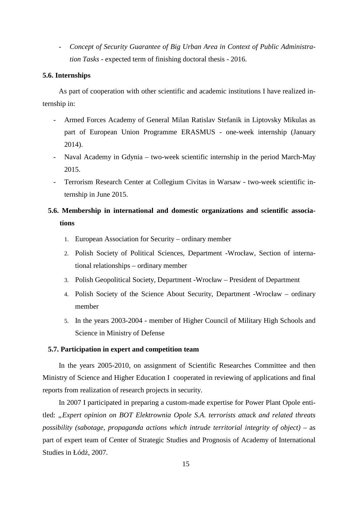- *Concept of Security Guarantee of Big Urban Area in Context of Public Administration Tasks* - expected term of finishing doctoral thesis - 2016.

### **5.6. Internships**

As part of cooperation with other scientific and academic institutions I have realized internship in:

- Armed Forces Academy of General Milan Ratislav Stefanik in Liptovsky Mikulas as part of European Union Programme ERASMUS - one-week internship (January 2014).
- Naval Academy in Gdynia two-week scientific internship in the period March-May 2015.
- Terrorism Research Center at Collegium Civitas in Warsaw two-week scientific internship in June 2015.

# **5.6. Membership in international and domestic organizations and scientific associations**

- 1. European Association for Security ordinary member
- 2. Polish Society of Political Sciences, Department -Wrocław, Section of international relationships – ordinary member
- 3. Polish Geopolitical Society, Department -Wrocław President of Department
- 4. Polish Society of the Science About Security, Department -Wrocław ordinary member
- 5. In the years 2003-2004 member of Higher Council of Military High Schools and Science in Ministry of Defense

### **5.7. Participation in expert and competition team**

In the years 2005-2010, on assignment of Scientific Researches Committee and then Ministry of Science and Higher Education I cooperated in reviewing of applications and final reports from realization of research projects in security.

In 2007 I participated in preparing a custom-made expertise for Power Plant Opole entitled: *"Expert opinion on BOT Elektrownia Opole S.A. terrorists attack and related threats possibility (sabotage, propaganda actions which intrude territorial integrity of object)* – as part of expert team of Center of Strategic Studies and Prognosis of Academy of International Studies in Łódź, 2007.